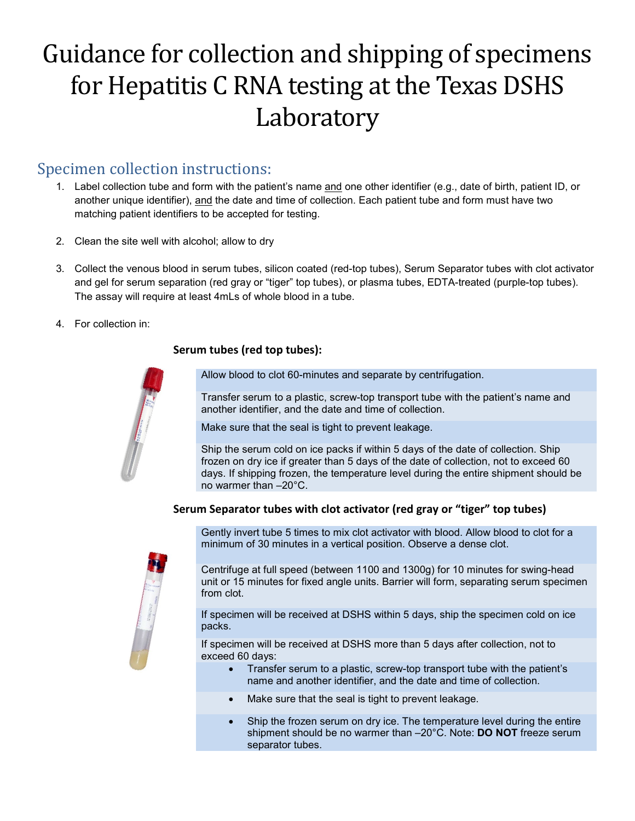# Guidance for collection and shipping of specimens for Hepatitis C RNA testing at the Texas DSHS Laboratory

### Specimen collection instructions:

- 1. Label collection tube and form with the patient's name and one other identifier (e.g., date of birth, patient ID, or another unique identifier), and the date and time of collection. Each patient tube and form must have two matching patient identifiers to be accepted for testing.
- 2. Clean the site well with alcohol; allow to dry
- 3. Collect the venous blood in serum tubes, silicon coated (red-top tubes), Serum Separator tubes with clot activator and gel for serum separation (red gray or "tiger" top tubes), or plasma tubes, EDTA-treated (purple-top tubes). The assay will require at least 4mLs of whole blood in a tube.
- 4. For collection in:

#### **Serum tubes (red top tubes):**

Allow blood to clot 60-minutes and separate by centrifugation.

Transfer serum to a plastic, screw-top transport tube with the patient's name and another identifier, and the date and time of collection.

Make sure that the seal is tight to prevent leakage.

Ship the serum cold on ice packs if within 5 days of the date of collection. Ship frozen on dry ice if greater than 5 days of the date of collection, not to exceed 60 days. If shipping frozen, the temperature level during the entire shipment should be no warmer than –20°C.

#### **Serum Separator tubes with clot activator (red gray or "tiger" top tubes)**



Gently invert tube 5 times to mix clot activator with blood. Allow blood to clot for a minimum of 30 minutes in a vertical position. Observe a dense clot.

Centrifuge at full speed (between 1100 and 1300g) for 10 minutes for swing-head unit or 15 minutes for fixed angle units. Barrier will form, separating serum specimen from clot.

If specimen will be received at DSHS within 5 days, ship the specimen cold on ice packs.

If specimen will be received at DSHS more than 5 days after collection, not to exceed 60 days:

- Transfer serum to a plastic, screw-top transport tube with the patient's name and another identifier, and the date and time of collection.
- Make sure that the seal is tight to prevent leakage.
- Ship the frozen serum on dry ice. The temperature level during the entire shipment should be no warmer than –20°C. Note: **DO NOT** freeze serum separator tubes.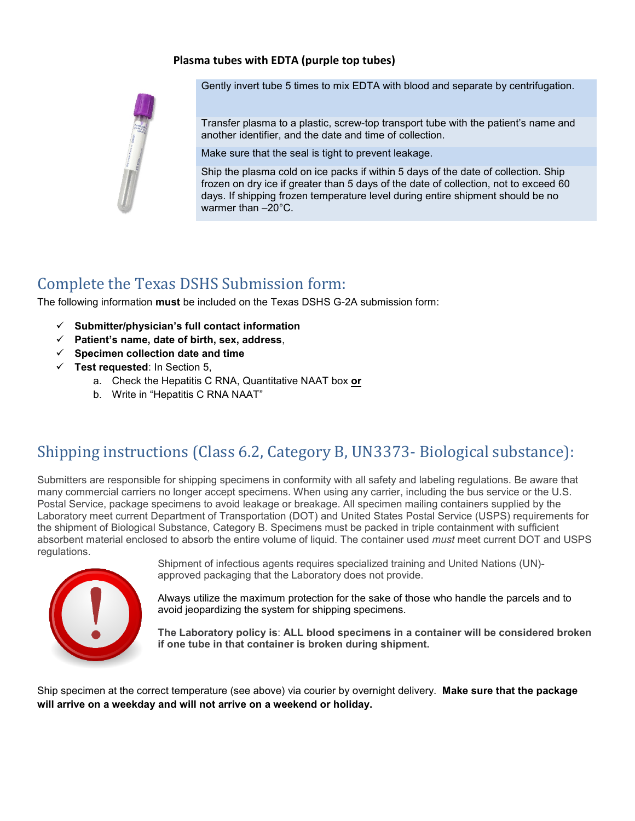#### **Plasma tubes with EDTA (purple top tubes)**



Gently invert tube 5 times to mix EDTA with blood and separate by centrifugation.

Transfer plasma to a plastic, screw-top transport tube with the patient's name and another identifier, and the date and time of collection.

Make sure that the seal is tight to prevent leakage.

Ship the plasma cold on ice packs if within 5 days of the date of collection. Ship frozen on dry ice if greater than 5 days of the date of collection, not to exceed 60 days. If shipping frozen temperature level during entire shipment should be no warmer than –20°C.

## Complete the Texas DSHS Submission form:

The following information **must** be included on the Texas DSHS G-2A submission form:

- **Submitter/physician's full contact information**
- **Patient's name, date of birth, sex, address**,
- **Specimen collection date and time**
- **Test requested**: In Section 5,
	- a. Check the Hepatitis C RNA, Quantitative NAAT box **or**
	- b. Write in "Hepatitis C RNA NAAT"

## Shipping instructions (Class 6.2, Category B, UN3373- Biological substance):

Submitters are responsible for shipping specimens in conformity with all safety and labeling regulations. Be aware that many commercial carriers no longer accept specimens. When using any carrier, including the bus service or the U.S. Postal Service, package specimens to avoid leakage or breakage. All specimen mailing containers supplied by the Laboratory meet current Department of Transportation (DOT) and United States Postal Service (USPS) requirements for the shipment of Biological Substance, Category B. Specimens must be packed in triple containment with sufficient absorbent material enclosed to absorb the entire volume of liquid. The container used *must* meet current DOT and USPS regulations.



Shipment of infectious agents requires specialized training and United Nations (UN) approved packaging that the Laboratory does not provide.

Always utilize the maximum protection for the sake of those who handle the parcels and to avoid jeopardizing the system for shipping specimens.

**The Laboratory policy is**: **ALL blood specimens in a container will be considered broken if one tube in that container is broken during shipment.**

Ship specimen at the correct temperature (see above) via courier by overnight delivery. **Make sure that the package will arrive on a weekday and will not arrive on a weekend or holiday.**